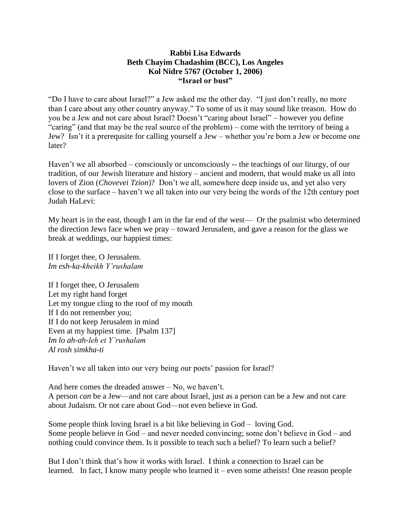## **Rabbi Lisa Edwards Beth Chayim Chadashim (BCC), Los Angeles Kol Nidre 5767 (October 1, 2006) "Israel or bust"**

"Do I have to care about Israel?" a Jew asked me the other day. "I just don't really, no more than I care about any other country anyway." To some of us it may sound like treason. How do you be a Jew and not care about Israel? Doesn't "caring about Israel" – however you define "caring" (and that may be the real source of the problem) – come with the territory of being a Jew? Isn't it a prerequsite for calling yourself a Jew – whether you're born a Jew or become one later?

Haven't we all absorbed – consciously or unconsciously -- the teachings of our liturgy, of our tradition, of our Jewish literature and history – ancient and modern, that would make us all into lovers of Zion (*Chovevei Tzion*)? Don't we all, somewhere deep inside us, and yet also very close to the surface – haven't we all taken into our very being the words of the 12th century poet Judah HaLevi:

My heart is in the east, though I am in the far end of the west— Or the psalmist who determined the direction Jews face when we pray – toward Jerusalem, and gave a reason for the glass we break at weddings, our happiest times:

If I forget thee, O Jerusalem. *Im esh-ka-kheikh Y'rushalam*

If I forget thee, O Jerusalem Let my right hand forget Let my tongue cling to the roof of my mouth If I do not remember you; If I do not keep Jerusalem in mind Even at my happiest time. [Psalm 137] *Im lo ah-ah-leh et Y'rushalam Al rosh simkha-ti*

Haven't we all taken into our very being our poets' passion for Israel?

And here comes the dreaded answer – No, we haven't. A person *can* be a Jew—and not care about Israel, just as a person can be a Jew and not care about Judaism. Or not care about God—not even believe in God.

Some people think loving Israel is a bit like believing in God – loving God. Some people believe in God – and never needed convincing; some don't believe in God – and nothing could convince them. Is it possible to teach such a belief? To learn such a belief?

But I don't think that's how it works with Israel. I think a connection to Israel can be learned. In fact, I know many people who learned it – even some atheists! One reason people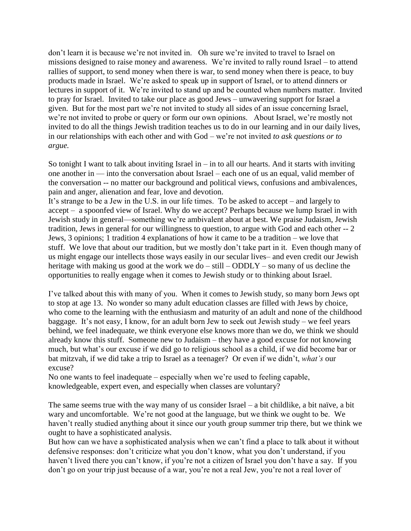don't learn it is because we're not invited in. Oh sure we're invited to travel to Israel on missions designed to raise money and awareness. We're invited to rally round Israel – to attend rallies of support, to send money when there is war, to send money when there is peace, to buy products made in Israel. We're asked to speak up in support of Israel, or to attend dinners or lectures in support of it. We're invited to stand up and be counted when numbers matter. Invited to pray for Israel. Invited to take our place as good Jews – unwavering support for Israel a given. But for the most part we're not invited to study all sides of an issue concerning Israel, we're not invited to probe or query or form our own opinions. About Israel, we're mostly not invited to do all the things Jewish tradition teaches us to do in our learning and in our daily lives, in our relationships with each other and with God – we're not invited *to ask questions or to argue.*

So tonight I want to talk about inviting Israel in  $-$  in to all our hearts. And it starts with inviting one another in — into the conversation about Israel – each one of us an equal, valid member of the conversation -- no matter our background and political views, confusions and ambivalences, pain and anger, alienation and fear, love and devotion.

It's strange to be a Jew in the U.S. in our life times. To be asked to accept – and largely to accept – a spoonfed view of Israel. Why do we accept? Perhaps because we lump Israel in with Jewish study in general—something we're ambivalent about at best. We praise Judaism, Jewish tradition, Jews in general for our willingness to question, to argue with God and each other -- 2 Jews, 3 opinions; 1 tradition 4 explanations of how it came to be a tradition – we love that stuff. We love that about our tradition, but we mostly don't take part in it. Even though many of us might engage our intellects those ways easily in our secular lives– and even credit our Jewish heritage with making us good at the work we do – still – ODDLY – so many of us decline the opportunities to really engage when it comes to Jewish study or to thinking about Israel.

I've talked about this with many of you. When it comes to Jewish study, so many born Jews opt to stop at age 13. No wonder so many adult education classes are filled with Jews by choice, who come to the learning with the enthusiasm and maturity of an adult and none of the childhood baggage. It's not easy, I know, for an adult born Jew to seek out Jewish study – we feel years behind, we feel inadequate, we think everyone else knows more than we do, we think we should already know this stuff. Someone new to Judaism – they have a good excuse for not knowing much, but what's our excuse if we did go to religious school as a child, if we did become bar or bat mitzvah, if we did take a trip to Israel as a teenager? Or even if we didn't, *what's* our excuse?

No one wants to feel inadequate – especially when we're used to feeling capable, knowledgeable, expert even, and especially when classes are voluntary?

The same seems true with the way many of us consider Israel – a bit childlike, a bit naïve, a bit wary and uncomfortable. We're not good at the language, but we think we ought to be. We haven't really studied anything about it since our youth group summer trip there, but we think we ought to have a sophisticated analysis.

But how can we have a sophisticated analysis when we can't find a place to talk about it without defensive responses: don't criticize what you don't know, what you don't understand, if you haven't lived there you can't know, if you're not a citizen of Israel you don't have a say. If you don't go on your trip just because of a war, you're not a real Jew, you're not a real lover of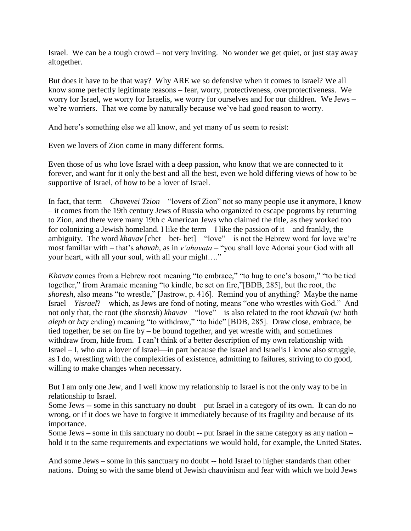Israel. We can be a tough crowd – not very inviting. No wonder we get quiet, or just stay away altogether.

But does it have to be that way? Why ARE we so defensive when it comes to Israel? We all know some perfectly legitimate reasons – fear, worry, protectiveness, overprotectiveness. We worry for Israel, we worry for Israelis, we worry for ourselves and for our children. We Jews – we're worriers. That we come by naturally because we've had good reason to worry.

And here's something else we all know, and yet many of us seem to resist:

Even we lovers of Zion come in many different forms.

Even those of us who love Israel with a deep passion, who know that we are connected to it forever, and want for it only the best and all the best, even we hold differing views of how to be supportive of Israel, of how to be a lover of Israel.

In fact, that term – *Chovevei Tzion* – "lovers of Zion" not so many people use it anymore, I know – it comes from the 19th century Jews of Russia who organized to escape pogroms by returning to Zion, and there were many 19th c American Jews who claimed the title, as they worked too for colonizing a Jewish homeland. I like the term  $-$  I like the passion of it – and frankly, the ambiguity. The word *khavav* [chet – bet- bet] – "love" – is not the Hebrew word for love we're most familiar with – that's a*havah*, as in *v'ahavata* – "you shall love Adonai your God with all your heart, with all your soul, with all your might…."

*Khavav* comes from a Hebrew root meaning "to embrace," "to hug to one's bosom," "to be tied together," from Aramaic meaning "to kindle, be set on fire,"[BDB, 285], but the root, the *shoresh,* also means "to wrestle," [Jastrow, p. 416]. Remind you of anything? Maybe the name Israel – *Yisrael*? – which, as Jews are fond of noting, means "one who wrestles with God." And not only that, the root (the *shoresh*) *khavav* – "love" – is also related to the root *khavah* (w/ both *aleph* or *hay* ending) meaning "to withdraw," "to hide" [BDB, 285]. Draw close, embrace, be tied together, be set on fire by – be bound together, and yet wrestle with, and sometimes withdraw from, hide from. I can't think of a better description of my own relationship with Israel – I, who *am* a lover of Israel—in part because the Israel and Israelis I know also struggle, as I do, wrestling with the complexities of existence, admitting to failures, striving to do good, willing to make changes when necessary.

But I am only one Jew, and I well know my relationship to Israel is not the only way to be in relationship to Israel.

Some Jews -- some in this sanctuary no doubt – put Israel in a category of its own. It can do no wrong, or if it does we have to forgive it immediately because of its fragility and because of its importance.

Some Jews – some in this sanctuary no doubt -- put Israel in the same category as any nation – hold it to the same requirements and expectations we would hold, for example, the United States.

And some Jews – some in this sanctuary no doubt -- hold Israel to higher standards than other nations. Doing so with the same blend of Jewish chauvinism and fear with which we hold Jews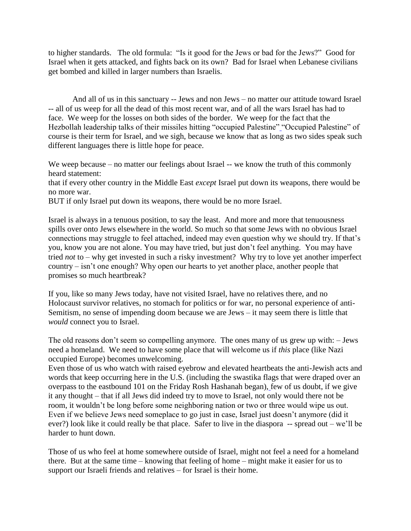to higher standards. The old formula: "Is it good for the Jews or bad for the Jews?" Good for Israel when it gets attacked, and fights back on its own? Bad for Israel when Lebanese civilians get bombed and killed in larger numbers than Israelis.

 And all of us in this sanctuary -- Jews and non Jews – no matter our attitude toward Israel -- all of us weep for all the dead of this most recent war, and of all the wars Israel has had to face. We weep for the losses on both sides of the border. We weep for the fact that the Hezbollah leadership talks of their missiles hitting "occupied Palestine["](file://DATASHARE/Sharing/drashot2/5767KN.html%23_ftn1) "Occupied Palestine" of course is their term for Israel, and we sigh, because we know that as long as two sides speak such different languages there is little hope for peace.

We weep because – no matter our feelings about Israel -- we know the truth of this commonly heard statement:

that if every other country in the Middle East *except* Israel put down its weapons, there would be no more war.

BUT if only Israel put down its weapons, there would be no more Israel.

Israel is always in a tenuous position, to say the least. And more and more that tenuousness spills over onto Jews elsewhere in the world. So much so that some Jews with no obvious Israel connections may struggle to feel attached, indeed may even question why we should try. If that's you, know you are not alone. You may have tried, but just don't feel anything. You may have tried *not* to – why get invested in such a risky investment? Why try to love yet another imperfect country – isn't one enough? Why open our hearts to yet another place, another people that promises so much heartbreak?

If you, like so many Jews today, have not visited Israel, have no relatives there, and no Holocaust survivor relatives, no stomach for politics or for war, no personal experience of anti-Semitism, no sense of impending doom because we are Jews – it may seem there is little that *would* connect you to Israel.

The old reasons don't seem so compelling anymore. The ones many of us grew up with: – Jews need a homeland. We need to have some place that will welcome us if *this* place (like Nazi occupied Europe) becomes unwelcoming.

Even those of us who watch with raised eyebrow and elevated heartbeats the anti-Jewish acts and words that keep occurring here in the U.S. (including the swastika flags that were draped over an overpass to the eastbound 101 on the Friday Rosh Hashanah began), [f](file://DATASHARE/Sharing/drashot2/5767KN.html%23_ftn2)ew of us doubt, if we give it any thought – that if all Jews did indeed try to move to Israel, not only would there not be room, it wouldn't be long before some neighboring nation or two or three would wipe us out. Even if we believe Jews need someplace to go just in case, Israel just doesn't anymore (did it ever?) look like it could really be that place. Safer to live in the diaspora -- spread out – we'll be harder to hunt down.

Those of us who feel at home somewhere outside of Israel, might not feel a need for a homeland there. But at the same time – knowing that feeling of home – might make it easier for us to support our Israeli friends and relatives – for Israel is their home.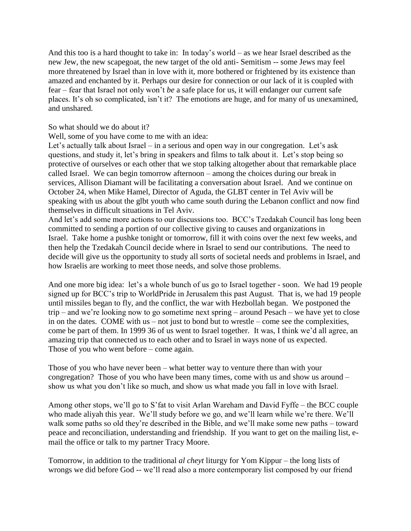And this too is a hard thought to take in: In today's world – as we hear Israel described as the new Jew, the new scapegoat, the new target of the old anti- Semitism -- some Jews may feel more threatened by Israel than in love with it, more bothered or frightened by its existence than amazed and enchanted by it. Perhaps our desire for connection or our lack of it is coupled with fear – fear that Israel not only won't *be* a safe place for us, it will endanger our current safe places. It's oh so complicated, isn't it? The emotions are huge, and for many of us unexamined, and unshared.

## So what should we do about it?

Well, some of you have come to me with an idea:

Let's actually talk about Israel – in a serious and open way in our congregation. Let's ask questions, and study it, let's bring in speakers and films to talk about it. Let's stop being so protective of ourselves or each other that we stop talking altogether about that remarkable place called Israel. We can begin tomorrow afternoon – among the choices during our break in services, Allison Diamant will be facilitating a conversation about Israel. And we continue on October 24, when Mike Hamel, Director of Aguda, the GLBT center in Tel Aviv will be speaking with us about the glbt youth who came south during the Lebanon conflict and now find themselves in difficult situations in Tel Aviv.

And let's add some more actions to our discussions too. BCC's Tzedakah Council has long been committed to sending a portion of our collective giving to causes and organizations in Israel. Take home a pushke tonight or tomorrow, fill it with coins over the next few weeks, and then help the Tzedakah Council decide where in Israel to send our contributions. The need to decide will give us the opportunity to study all sorts of societal needs and problems in Israel, and how Israelis are working to meet those needs, and solve those problems.

And one more big idea: let's a whole bunch of us go to Israel together - soon. We had 19 people signed up for BCC's trip to WorldPride in Jerusalem this past August. That is, we had 19 people until missiles began to fly, and the conflict, the war with Hezbollah began. We postponed the trip – and we're looking now to go sometime next spring – around Pesach – we have yet to close in on the dates. COME with us – not just to bond but to wrestle – come see the complexities, come be part of them. In 1999 36 of us went to Israel together. It was, I think we'd all agree, an amazing trip that connected us to each other and to Israel in ways none of us expected. Those of you who went before – come again.

Those of you who have never been – what better way to venture there than with your congregation? Those of you who have been many times, come with us and show us around – show us what you don't like so much, and show us what made you fall in love with Israel.

Among other stops, we'll go to S'fat to visit Arlan Wareham and David Fyffe – the BCC couple who made aliyah this year. We'll study before we go, and we'll learn while we're there. We'll walk some paths so old they're described in the Bible, and we'll make some new paths – toward peace and reconciliation, understanding and friendship. If you want to get on the mailing list, email the office or talk to my partner Tracy Moore.

Tomorrow, in addition to the traditional *al cheyt* liturgy for Yom Kippur – the long lists of wrongs we did before God -- we'll read also a more contemporary list composed by our friend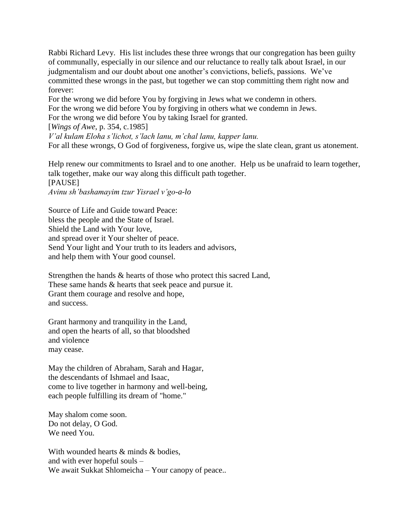Rabbi Richard Levy. His list includes these three wrongs that our congregation has been guilty of communally, especially in our silence and our reluctance to really talk about Israel, in our judgmentalism and our doubt about one another's convictions, beliefs, passions. We've committed these wrongs in the past, but together we can stop committing them right now and forever:

For the wrong we did before You by forgiving in Jews what we condemn in others. For the wrong we did before You by forgiving in others what we condemn in Jews. For the wrong we did before You by taking Israel for granted.

[*Wings of Awe*, p. 354, c.1985]

*V'al kulam Eloha s'lichot, s'lach lanu, m'chal lanu, kapper lanu.* For all these wrongs, O God of forgiveness, forgive us, wipe the slate clean, grant us atonement.

Help renew our commitments to Israel and to one another. Help us be unafraid to learn together, talk together, make our way along this difficult path together. [PAUSE]

*Avinu sh'bashamayim tzur Yisrael v'go-a-lo*

Source of Life and Guide toward Peace: bless the people and the State of Israel. Shield the Land with Your love, and spread over it Your shelter of peace. Send Your light and Your truth to its leaders and advisors, and help them with Your good counsel.

Strengthen the hands & hearts of those who protect this sacred Land, These same hands & hearts that seek peace and pursue it. Grant them courage and resolve and hope, and success.

Grant harmony and tranquility in the Land, and open the hearts of all, so that bloodshed and violence may cease.

May the children of Abraham, Sarah and Hagar, the descendants of Ishmael and Isaac, come to live together in harmony and well-being, each people fulfilling its dream of "home."

May shalom come soon. Do not delay, O God. We need You.

With wounded hearts & minds & bodies. and with ever hopeful souls – We await Sukkat Shlomeicha – Your canopy of peace..